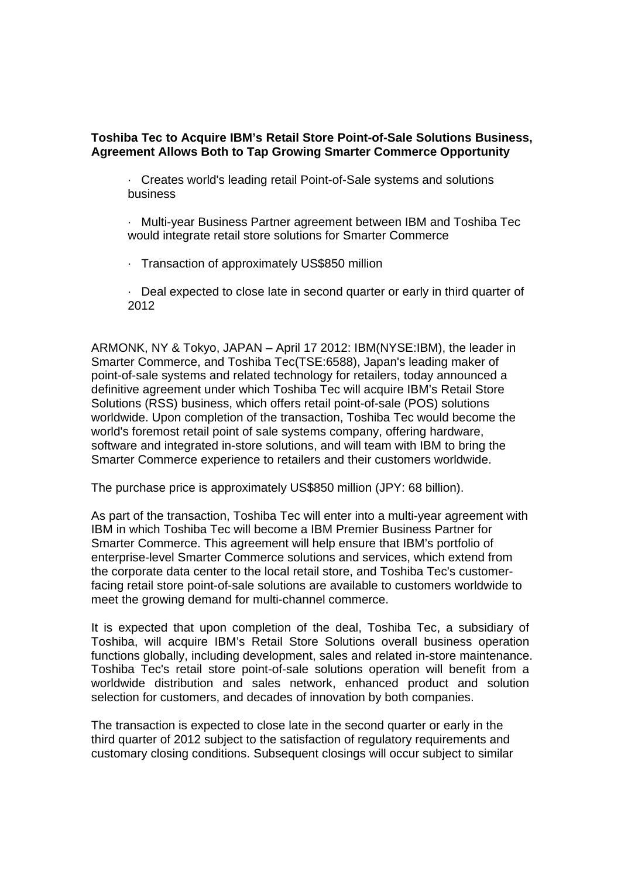## **Toshiba Tec to Acquire IBM's Retail Store Point-of-Sale Solutions Business, Agreement Allows Both to Tap Growing Smarter Commerce Opportunity**

· Creates world's leading retail Point-of-Sale systems and solutions business

· Multi-year Business Partner agreement between IBM and Toshiba Tec would integrate retail store solutions for Smarter Commerce

· Transaction of approximately US\$850 million

· Deal expected to close late in second quarter or early in third quarter of 2012

ARMONK, NY & Tokyo, JAPAN – April 17 2012: IBM(NYSE:IBM), the leader in Smarter Commerce, and Toshiba Tec(TSE:6588), Japan's leading maker of point-of-sale systems and related technology for retailers, today announced a definitive agreement under which Toshiba Tec will acquire IBM's Retail Store Solutions (RSS) business, which offers retail point-of-sale (POS) solutions worldwide. Upon completion of the transaction, Toshiba Tec would become the world's foremost retail point of sale systems company, offering hardware, software and integrated in-store solutions, and will team with IBM to bring the Smarter Commerce experience to retailers and their customers worldwide.

The purchase price is approximately US\$850 million (JPY: 68 billion).

As part of the transaction, Toshiba Tec will enter into a multi-year agreement with IBM in which Toshiba Tec will become a IBM Premier Business Partner for Smarter Commerce. This agreement will help ensure that IBM's portfolio of enterprise-level Smarter Commerce solutions and services, which extend from the corporate data center to the local retail store, and Toshiba Tec's customerfacing retail store point-of-sale solutions are available to customers worldwide to meet the growing demand for multi-channel commerce.

It is expected that upon completion of the deal, Toshiba Tec, a subsidiary of Toshiba, will acquire IBM's Retail Store Solutions overall business operation functions globally, including development, sales and related in-store maintenance. Toshiba Tec's retail store point-of-sale solutions operation will benefit from a worldwide distribution and sales network, enhanced product and solution selection for customers, and decades of innovation by both companies.

The transaction is expected to close late in the second quarter or early in the third quarter of 2012 subject to the satisfaction of regulatory requirements and customary closing conditions. Subsequent closings will occur subject to similar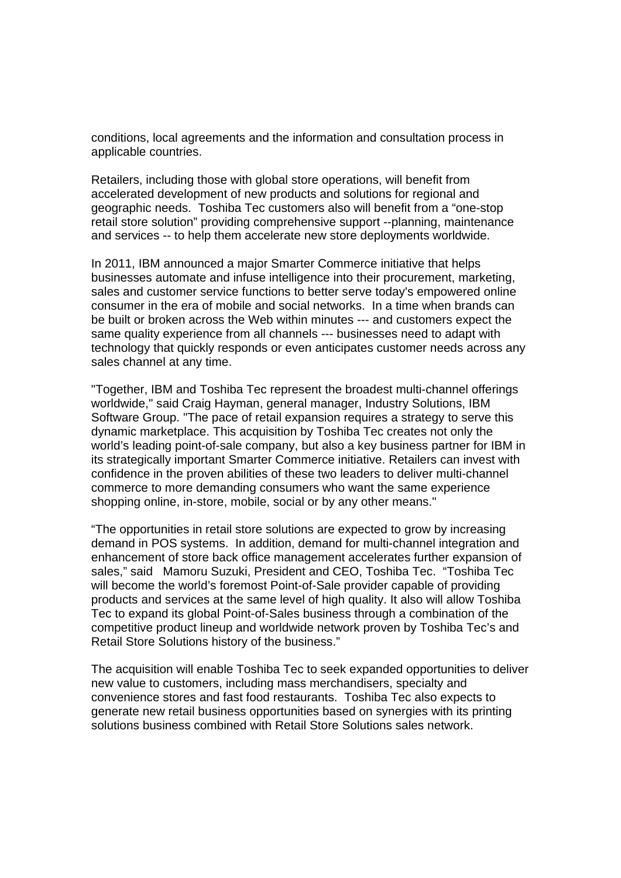conditions, local agreements and the information and consultation process in applicable countries.

Retailers, including those with global store operations, will benefit from accelerated development of new products and solutions for regional and geographic needs. Toshiba Tec customers also will benefit from a "one-stop retail store solution" providing comprehensive support --planning, maintenance and services -- to help them accelerate new store deployments worldwide.

In 2011, IBM announced a major Smarter Commerce initiative that helps businesses automate and infuse intelligence into their procurement, marketing, sales and customer service functions to better serve today's empowered online consumer in the era of mobile and social networks. In a time when brands can be built or broken across the Web within minutes --- and customers expect the same quality experience from all channels --- businesses need to adapt with technology that quickly responds or even anticipates customer needs across any sales channel at any time.

"Together, IBM and Toshiba Tec represent the broadest multi-channel offerings worldwide," said Craig Hayman, general manager, Industry Solutions, IBM Software Group. "The pace of retail expansion requires a strategy to serve this dynamic marketplace. This acquisition by Toshiba Tec creates not only the world's leading point-of-sale company, but also a key business partner for IBM in its strategically important Smarter Commerce initiative. Retailers can invest with confidence in the proven abilities of these two leaders to deliver multi-channel commerce to more demanding consumers who want the same experience shopping online, in-store, mobile, social or by any other means."

"The opportunities in retail store solutions are expected to grow by increasing demand in POS systems. In addition, demand for multi-channel integration and enhancement of store back office management accelerates further expansion of sales," said Mamoru Suzuki, President and CEO, Toshiba Tec. "Toshiba Tec will become the world's foremost Point-of-Sale provider capable of providing products and services at the same level of high quality. It also will allow Toshiba Tec to expand its global Point-of-Sales business through a combination of the competitive product lineup and worldwide network proven by Toshiba Tec's and Retail Store Solutions history of the business."

The acquisition will enable Toshiba Tec to seek expanded opportunities to deliver new value to customers, including mass merchandisers, specialty and convenience stores and fast food restaurants. Toshiba Tec also expects to generate new retail business opportunities based on synergies with its printing solutions business combined with Retail Store Solutions sales network.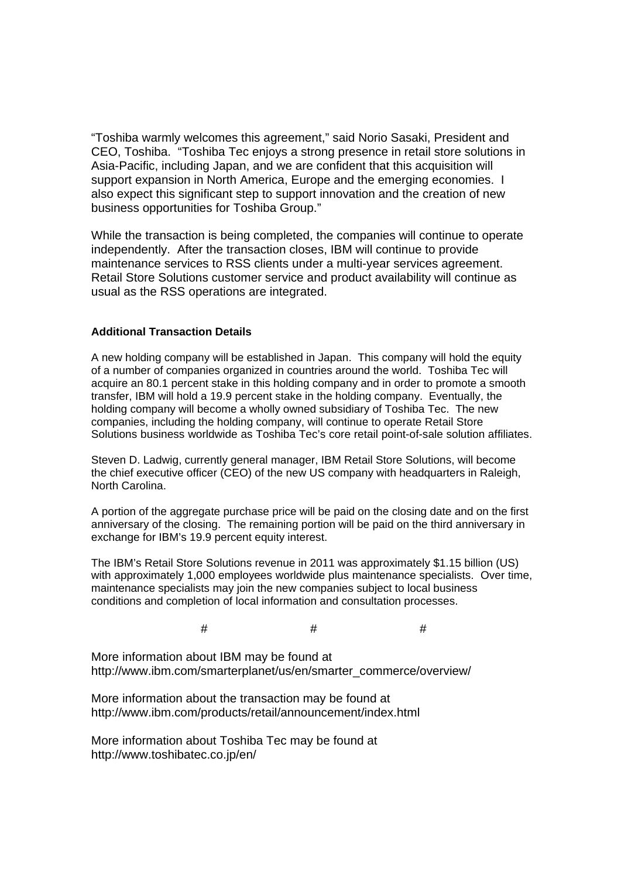"Toshiba warmly welcomes this agreement," said Norio Sasaki, President and CEO, Toshiba. "Toshiba Tec enjoys a strong presence in retail store solutions in Asia-Pacific, including Japan, and we are confident that this acquisition will support expansion in North America. Europe and the emerging economies. I also expect this significant step to support innovation and the creation of new business opportunities for Toshiba Group."

While the transaction is being completed, the companies will continue to operate independently. After the transaction closes, IBM will continue to provide maintenance services to RSS clients under a multi-year services agreement. Retail Store Solutions customer service and product availability will continue as usual as the RSS operations are integrated.

### **Additional Transaction Details**

A new holding company will be established in Japan. This company will hold the equity of a number of companies organized in countries around the world. Toshiba Tec will acquire an 80.1 percent stake in this holding company and in order to promote a smooth transfer, IBM will hold a 19.9 percent stake in the holding company. Eventually, the holding company will become a wholly owned subsidiary of Toshiba Tec. The new companies, including the holding company, will continue to operate Retail Store Solutions business worldwide as Toshiba Tec's core retail point-of-sale solution affiliates.

Steven D. Ladwig, currently general manager, IBM Retail Store Solutions, will become the chief executive officer (CEO) of the new US company with headquarters in Raleigh, North Carolina.

A portion of the aggregate purchase price will be paid on the closing date and on the first anniversary of the closing. The remaining portion will be paid on the third anniversary in exchange for IBM's 19.9 percent equity interest.

The IBM's Retail Store Solutions revenue in 2011 was approximately \$1.15 billion (US) with approximately 1,000 employees worldwide plus maintenance specialists. Over time, maintenance specialists may join the new companies subject to local business conditions and completion of local information and consultation processes.

## $\#$   $\#$   $\#$

More information about IBM may be found at http://www.ibm.com/smarterplanet/us/en/smarter\_commerce/overview/

More information about the transaction may be found at http://www.ibm.com/products/retail/announcement/index.html

More information about Toshiba Tec may be found at http://www.toshibatec.co.jp/en/